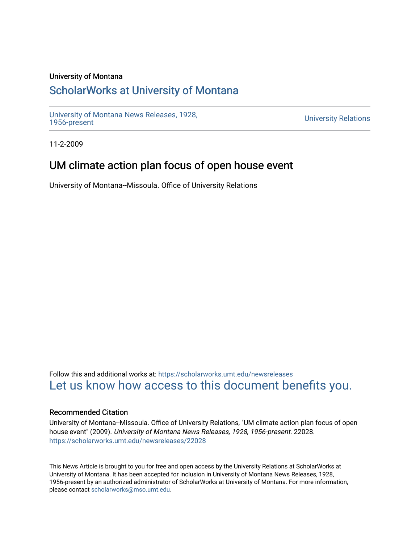#### University of Montana

## [ScholarWorks at University of Montana](https://scholarworks.umt.edu/)

[University of Montana News Releases, 1928,](https://scholarworks.umt.edu/newsreleases) 

**University Relations** 

11-2-2009

## UM climate action plan focus of open house event

University of Montana--Missoula. Office of University Relations

Follow this and additional works at: [https://scholarworks.umt.edu/newsreleases](https://scholarworks.umt.edu/newsreleases?utm_source=scholarworks.umt.edu%2Fnewsreleases%2F22028&utm_medium=PDF&utm_campaign=PDFCoverPages) [Let us know how access to this document benefits you.](https://goo.gl/forms/s2rGfXOLzz71qgsB2) 

#### Recommended Citation

University of Montana--Missoula. Office of University Relations, "UM climate action plan focus of open house event" (2009). University of Montana News Releases, 1928, 1956-present. 22028. [https://scholarworks.umt.edu/newsreleases/22028](https://scholarworks.umt.edu/newsreleases/22028?utm_source=scholarworks.umt.edu%2Fnewsreleases%2F22028&utm_medium=PDF&utm_campaign=PDFCoverPages) 

This News Article is brought to you for free and open access by the University Relations at ScholarWorks at University of Montana. It has been accepted for inclusion in University of Montana News Releases, 1928, 1956-present by an authorized administrator of ScholarWorks at University of Montana. For more information, please contact [scholarworks@mso.umt.edu.](mailto:scholarworks@mso.umt.edu)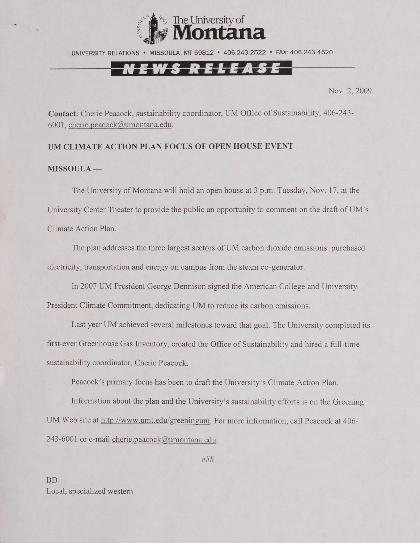

UNIVERSITY RELATIONS • MISSOULA, MT 59812 \* 406.243.2522 • FAX: 406.243.4520

# NEWS RELEASE

Nov. 2, 2009

**Contact:** Cherie Peacock, sustainability coordinator, UM Office of Sustainability, 406-243- 6001, [cherie.peacock@umontana.edu.](mailto:cherie.peacock@umontana.edu)

### **UM CLIMATE ACTION PLAN FOCUS OF OPEN HOUSE EVENT**

#### **MISSOULA —**

The University of Montana will hold an open house at 3 p.m. Tuesday, Nov. 17, at the University Center Theater to provide the public an opportunity to comment on the draft of UM's Climate Action Plan.

The plan addresses the three largest sectors of UM carbon dioxide emissions: purchased electricity, transportation and energy on campus from the steam co-generator.

In 2007 UM President George Dennison signed the American College and University President Climate Commitment, dedicating UM to reduce its carbon emissions.

Last year UM achieved several milestones toward that goal. The University completed its first-ever Greenhouse Gas Inventory, created the Office of Sustainability and hired a full-time sustainability coordinator, Cherie Peacock.

Peacock's primary focus has been to draft the University's Climate Action Plan.

Information about the plan and the University's sustainability efforts is on the Greening UM Web site at [http://www.umt.edu/greeningum.](http://www.umt.edu/greeningum) For more information, call Peacock at 406- 243-6001 or e-mail [cherie.peacock@umontana.edu.](mailto:cherie.peacock@umontana.edu)

###